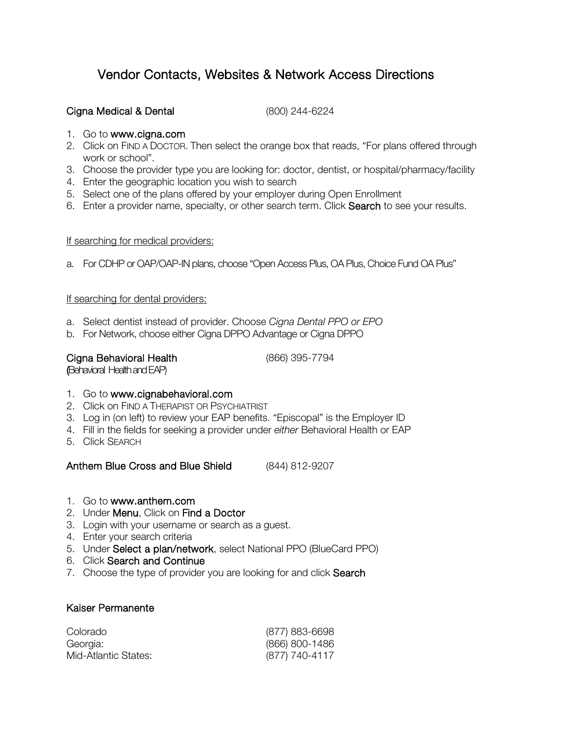# Vendor Contacts, Websites & Network Access Directions

# Cigna Medical & Dental (800) 244-6224

- 1. Go to www.cigna.com
- 2. Click on FIND A DOCTOR. Then select the orange box that reads, "For plans offered through work or school".
- 3. Choose the provider type you are looking for: doctor, dentist, or hospital/pharmacy/facility
- 4. Enter the geographic location you wish to search
- 5. Select one of the plans offered by your employer during Open Enrollment
- 6. Enter a provider name, specialty, or other search term. Click Search to see your results.

## If searching for medical providers:

a. For CDHP or OAP/OAP-IN plans, choose "Open Access Plus, OA Plus, Choice Fund OA Plus"

# If searching for dental providers:

- a. Select dentist instead of provider. Choose *Cigna Dental PPO or EPO*
- b. For Network, choose either Cigna DPPO Advantage or Cigna DPPO

| Cigna Behavioral Health |  |
|-------------------------|--|
|-------------------------|--|

(866) 395-7794

(Behavioral Health and EAP)

# 1. Go to www.cignabehavioral.com

- 2. Click on FIND A THERAPIST OR PSYCHIATRIST
- 3. Log in (on left) to review your EAP benefits. "Episcopal" is the Employer ID
- 4. Fill in the fields for seeking a provider under *either* Behavioral Health or EAP
- 5. Click SEARCH

Anthem Blue Cross and Blue Shield (844) 812-9207

- 1. Go to www.anthem.com
- 2. Under Menu, Click on Find a Doctor
- 3. Login with your username or search as a guest.
- 4. Enter your search criteria
- 5. Under Select a plan/network, select National PPO (BlueCard PPO)
- 6. Click Search and Continue
- 7. Choose the type of provider you are looking for and click Search

# Kaiser Permanente

| Colorado             | (877) 883-6698 |
|----------------------|----------------|
| Georgia:             | (866) 800-1486 |
| Mid-Atlantic States: | (877) 740-4117 |